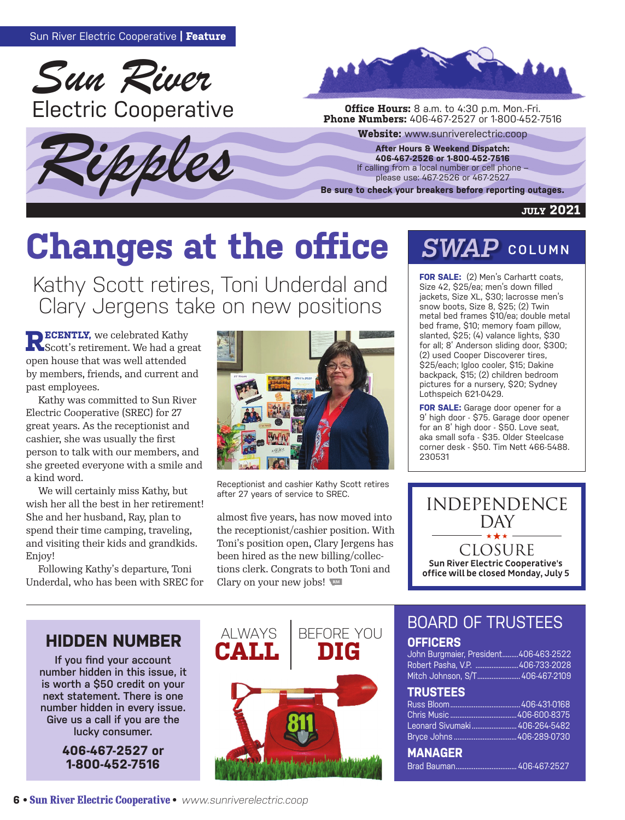





**Phone Numbers:** 406-467-2527 or 1-800-452-7516

Website: www.sunriverelectric.coop<br>
After Hours & Weekend Dispatch:<br>
406-467-2526 or 1-800-452-7516<br>
If calling from a local number or cell phone –<br>
please use: 467-2526 or 467-2527 **After Hours & Weekend Dispatch: 406-467-2526 or 1-800-452-7516** If calling from a local number or cell phone – please use: 467-2526 or 467-2527

**Be sure to check your breakers before reporting outages.**

#### **july 2021**

# **Changes at the office**

Kathy Scott retires, Toni Underdal and Clary Jergens take on new positions

**RECENTLY,** we celebrated Kathy<br>
Scott's retirement. We had a great open house that was well attended by members, friends, and current and past employees.

Kathy was committed to Sun River Electric Cooperative (SREC) for 27 great years. As the receptionist and cashier, she was usually the first person to talk with our members, and she greeted everyone with a smile and a kind word.

We will certainly miss Kathy, but wish her all the best in her retirement! She and her husband, Ray, plan to spend their time camping, traveling, and visiting their kids and grandkids. Enjoy!

Following Kathy's departure, Toni Underdal, who has been with SREC for



Receptionist and cashier Kathy Scott retires after 27 years of service to SREC.

almost five years, has now moved into the receptionist/cashier position. With Toni's position open, Clary Jergens has been hired as the new billing/collections clerk. Congrats to both Toni and Clary on your new jobs!

# *SWAP* **COLUMN**

**FOR SALE:** (2) Men's Carhartt coats, Size 42, \$25/ea; men's down filled jackets, Size XL, \$30; lacrosse men's snow boots, Size 8, \$25; (2) Twin metal bed frames \$10/ea; double metal bed frame, \$10; memory foam pillow, slanted, \$25; (4) valance lights, \$30 for all; 8' Anderson sliding door, \$300; (2) used Cooper Discoverer tires, \$25/each; Igloo cooler, \$15; Dakine backpack, \$15; (2) children bedroom pictures for a nursery, \$20; Sydney Lothspeich 621-0429.

**FOR SALE:** Garage door opener for a 9' high door - \$75. Garage door opener for an 8' high door - \$50. Love seat, aka small sofa - \$35. Older Steelcase corner desk - \$50. Tim Nett 466-5488. 230531



## **HIDDEN NUMBER ALWAYS**

**If you find your account number hidden in this issue, it is worth a \$50 credit on your next statement. There is one number hidden in every issue. Give us a call if you are the lucky consumer.** 

> **406-467-2527 or 1-800-452-7516**



### BOARD OF TRUSTEES **OFFICERS**

John Burgmaier, President.........406-463-2522 Robert Pasha, V.P. ........................406-733-2028 Mitch Johnson, S/T........................406-467-2109

### **TRUSTEES**

| INUD ILLO                       |  |
|---------------------------------|--|
|                                 |  |
|                                 |  |
| Leonard Sivumaki  406-264-5482  |  |
|                                 |  |
| <b>MANAGER</b>                  |  |
|                                 |  |
| <b>Brad Bauman</b> 406-467-2527 |  |